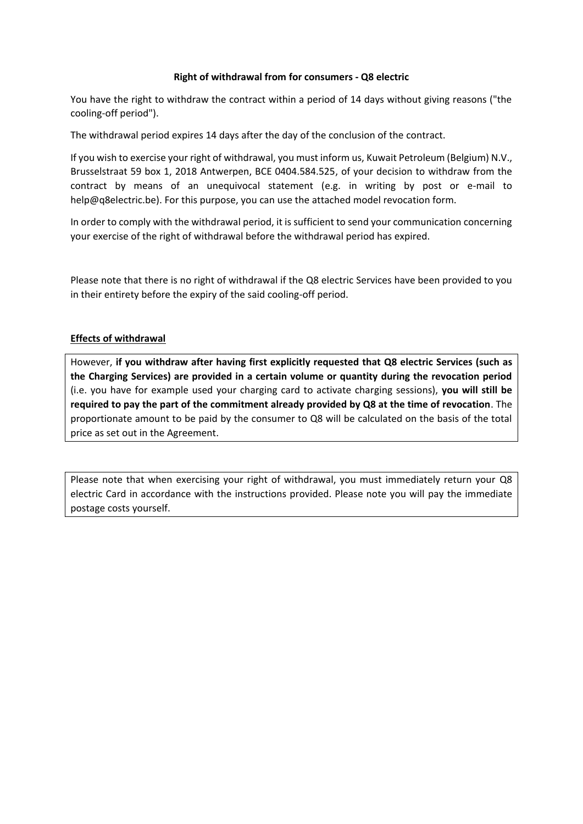## **Right of withdrawal from for consumers - Q8 electric**

You have the right to withdraw the contract within a period of 14 days without giving reasons ("the cooling-off period").

The withdrawal period expires 14 days after the day of the conclusion of the contract.

If you wish to exercise your right of withdrawal, you must inform us, Kuwait Petroleum (Belgium) N.V., Brusselstraat 59 box 1, 2018 Antwerpen, BCE 0404.584.525, of your decision to withdraw from the contract by means of an unequivocal statement (e.g. in writing by post or e-mail to help@q8electric.be). For this purpose, you can use the attached model revocation form.

In order to comply with the withdrawal period, it is sufficient to send your communication concerning your exercise of the right of withdrawal before the withdrawal period has expired.

Please note that there is no right of withdrawal if the Q8 electric Services have been provided to you in their entirety before the expiry of the said cooling-off period.

## **Effects of withdrawal**

However, **if you withdraw after having first explicitly requested that Q8 electric Services (such as the Charging Services) are provided in a certain volume or quantity during the revocation period** (i.e. you have for example used your charging card to activate charging sessions), **you will still be required to pay the part of the commitment already provided by Q8 at the time of revocation**. The proportionate amount to be paid by the consumer to Q8 will be calculated on the basis of the total price as set out in the Agreement.

Please note that when exercising your right of withdrawal, you must immediately return your Q8 electric Card in accordance with the instructions provided. Please note you will pay the immediate postage costs yourself.